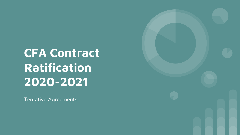CFA Contract Ratification 2020-2021

Tentative Agreements

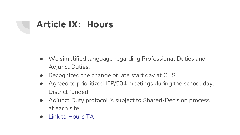## Article IX: Hours

- We simplified language regarding Professional Duties and Adjunct Duties.
- Recognized the change of late start day at CHS
- Agreed to prioritized IEP/504 meetings during the school of District funded.
- Adjunct Duty protocol is subject to Shared-Decision proce at each site.
- Link to Hours TA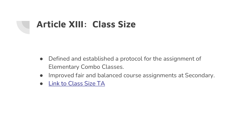### Article XIII: Class Size

- Defined and established a protocol for the assignment of Elementary Combo Classes.
- Improved fair and balanced course assignments at Second
- Link to Class Size TA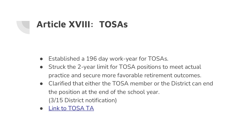## Article XVIII: TOSAs

- Established a 196 day work-year for TOSAs.
- Struck the 2-year limit for TOSA positions to meet actual practice and secure more favorable retirement outcomes.
- Clarified that either the TOSA member or the District can the position at the end of the school year. (3/15 District notification)
- Link to TOSA TA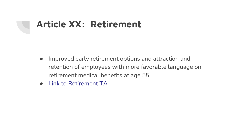## Article XX: Retirement

- Improved early retirement options and attraction and retention of employees with more favorable language on retirement medical benefits at age 55.
- **Link to Retirement TA**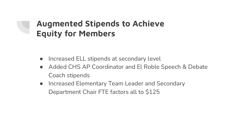#### Augmented Stipends to Achieve Equity for Members

- Increased ELL stipends at secondary level
- Added CHS AP Coordinator and El Roble Speech & Debate Coach stipends
- Increased Elementary Team Leader and Secondary Department Chair FTE factors all to \$125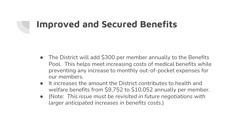## Improved and Secured Benefits

- The District will add \$300 per member annually to the Benefits Pool. This helps meet increasing costs of medical benefits while preventing any increase to monthly out-of-pocket expenses for our members.
- It increases the amount the District contributes to health and welfare benefits from \$9,752 to \$10,052 annually per member.
- (Note: *This issue must be revisited in future negotiations with larger anticipated increases in benefits costs.*)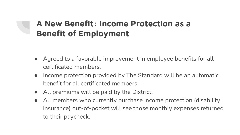#### A New Benefit: Income Protection as a Benefit of Employment

- Agreed to a favorable improvement in employee benefits for all certificated members.
- Income protection provided by The Standard will be an automatic benefit for all certificated members.
- All premiums will be paid by the District.
- All members who currently purchase income protection (disability insurance) out-of-pocket will see those monthly expenses returned to their paycheck.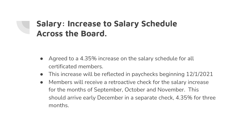#### Salary: Increase to Salary Schedule Across the Board.

- Agreed to a 4.35% increase on the salary schedule for all certificated members.
- This increase will be reflected in paychecks beginning 12/1/2021
- Members will receive a retroactive check for the salary increase for the months of September, October and November. This should arrive early December in a separate check, 4.35% for three months.